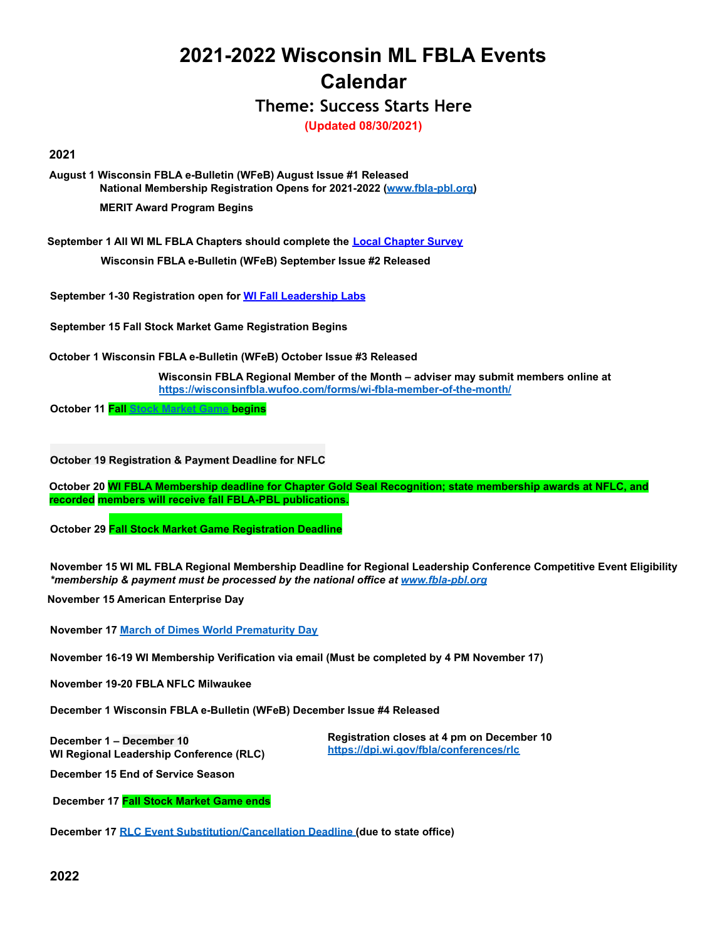## **2021-2022 Wisconsin ML FBLA Events Calendar**

**Theme: Success Starts Here**

**(Updated 08/30/2021)**

## **2021**

**August 1 Wisconsin FBLA e-Bulletin (WFeB) August Issue #1 Released National Membership Registration Opens for 2021-2022 (www.fbla-pbl.org)**

**MERIT Award Program Begins**

**September 1 All WI ML FBLA Chapters should complete the Local Chapter Survey**

**Wisconsin FBLA e-Bulletin (WFeB) September Issue #2 Released**

**September 1-30 Registration open for WI Fall Leadership Labs**

**September 15 Fall Stock Market Game Registration Begins**

**October 1 Wisconsin FBLA e-Bulletin (WFeB) October Issue #3 Released**

**Wisconsin FBLA Regional Member of the Month – adviser may submit members online at https://wisconsinfbla.wufoo.com/forms/wi-fbla-member-of-the-month/**

**October 11 Fall Stock Market Game begins**

**October 19 Registration & Payment Deadline for NFLC**

**October 20 WI FBLA Membership deadline for Chapter Gold Seal Recognition; state membership awards at NFLC, and recorded members will receive fall FBLA-PBL publications.**

**October 29 Fall Stock Market Game Registration Deadline**

**November 15 WI ML FBLA Regional Membership Deadline for Regional Leadership Conference Competitive Event Eligibility** *\*membership & payment must be processed by the national office at www.fbla-pbl.org*

**November 15 American Enterprise Day**

**November 17 March of Dimes World Prematurity Day**

**November 16-19 WI Membership Verification via email (Must be completed by 4 PM November 17)**

**November 19-20 FBLA NFLC Milwaukee**

**December 1 Wisconsin FBLA e-Bulletin (WFeB) December Issue #4 Released**

**December 1 – December 10 WI Regional Leadership Conference (RLC)** **Registration closes at 4 pm on December 10 https://dpi.wi.gov/fbla/conferences/rlc**

**December 15 End of Service Season**

**December 17 Fall Stock Market Game ends**

**December 17 RLC Event Substitution/Cancellation Deadline (due to state office)**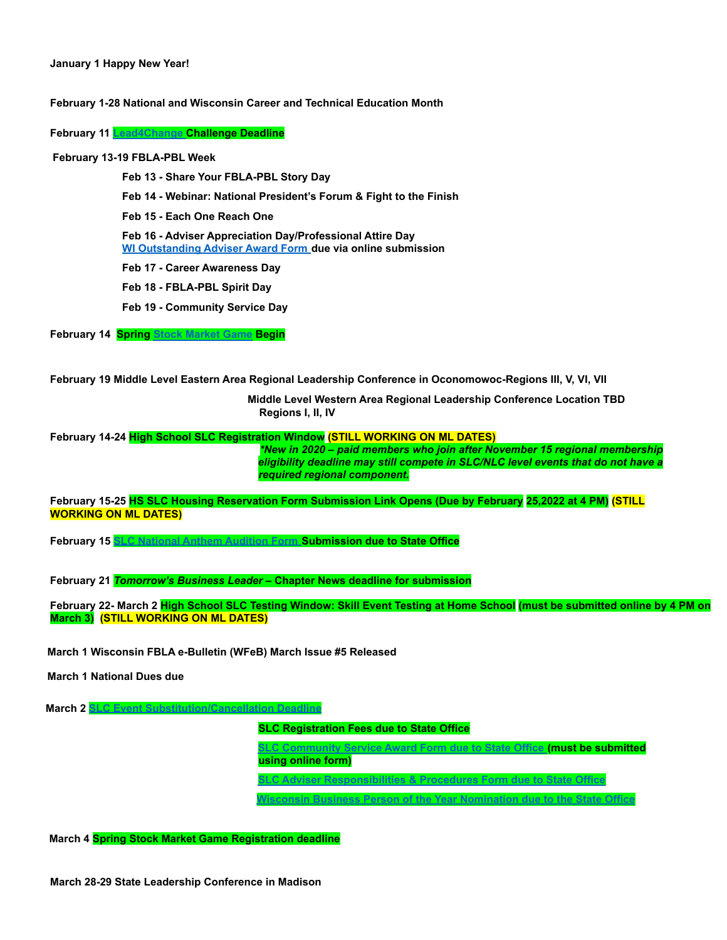## **January 1 Happy New Year!**

**February 1-28 National and Wisconsin Career and Technical Education Month**

**February 11 Lead4Change Challenge Deadline**

**February 13-19 FBLA-PBL Week**

**Feb 13 - Share Your FBLA-PBL Story Day**

**Feb 14 - Webinar: National President's Forum & Fight to the Finish**

**Feb 15 - Each One Reach One**

**Feb 16 - Adviser Appreciation Day/Professional Attire Day WI Outstanding Adviser Award Form due via online submission**

**Feb 17 - Career Awareness Day**

**Feb 18 - FBLA-PBL Spirit Day**

**Feb 19 - Community Service Day**

**February 14 Spring Stock Market Game Begin**

**February 19 Middle Level Eastern Area Regional Leadership Conference in Oconomowoc-Regions III, V, VI, VII**

**Middle Level Western Area Regional Leadership Conference Location TBD Regions I, II, IV**

**February 14-24 High School SLC Registration Window (STILL WORKING ON ML DATES)**

*\*New in 2020 – paid members who join after November 15 regional membership eligibility deadline may still compete in SLC/NLC level events that do not have a required regional component.*

**February 15-25 HS SLC Housing Reservation Form Submission Link Opens (Due by February 25,2022 at 4 PM) (STILL WORKING ON ML DATES)**

**February 15 SLC National Anthem Audition Form Submission due to State Office**

**February 21** *Tomorrow's Business Leader* **– Chapter News deadline for submission**

**February 22- March 2 High School SLC Testing Window: Skill Event Testing at Home School (must be submitted online by 4 PM on March 3) (STILL WORKING ON ML DATES)**

**March 1 Wisconsin FBLA e-Bulletin (WFeB) March Issue #5 Released**

**March 1 National Dues due**

**March 2 SLC Event Substitution/Cancellation Deadline SLC Registration Fees due to State Office SLC Community Service Award Form due to State Office (must be submitted using online form) SLC Adviser Responsibilities & Procedures Form due to State Office Wisconsin Business Person of the Year Nomination due to the State Office**

**March 4 Spring Stock Market Game Registration deadline**

**March 28-29 State Leadership Conference in Madison**